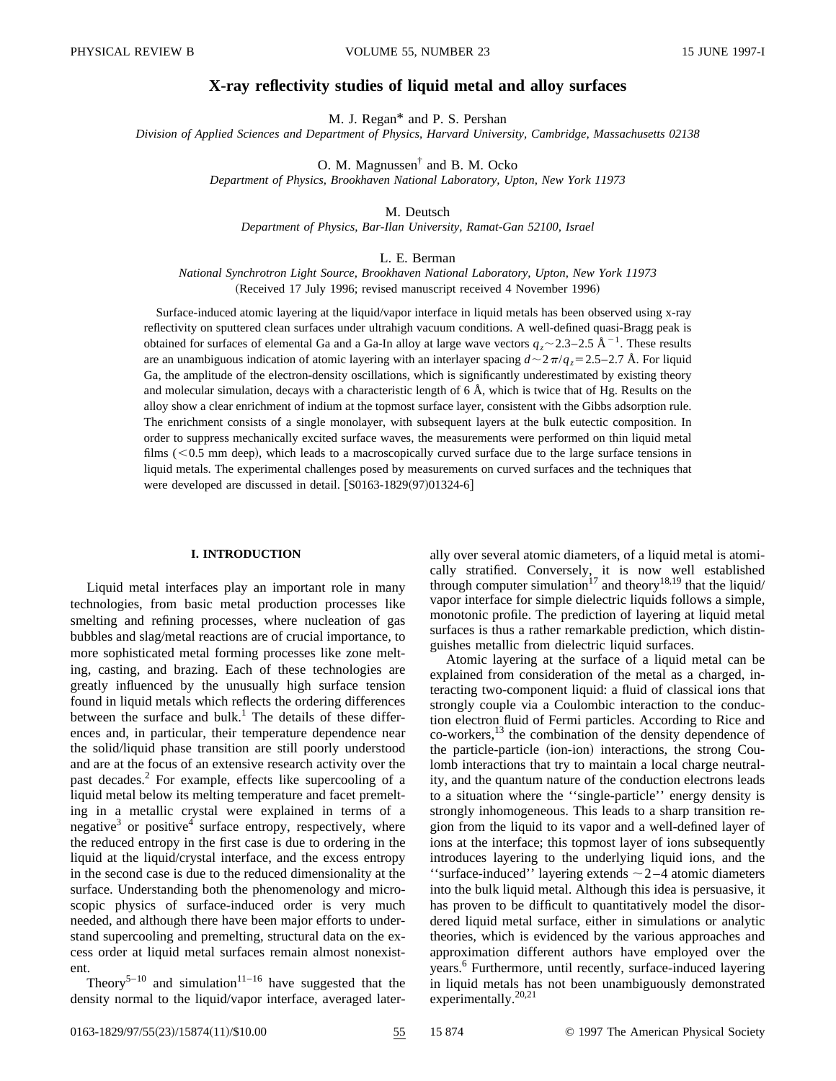# **X-ray reflectivity studies of liquid metal and alloy surfaces**

M. J. Regan\* and P. S. Pershan

*Division of Applied Sciences and Department of Physics, Harvard University, Cambridge, Massachusetts 02138*

O. M. Magnussen† and B. M. Ocko

*Department of Physics, Brookhaven National Laboratory, Upton, New York 11973*

M. Deutsch

*Department of Physics, Bar-Ilan University, Ramat-Gan 52100, Israel*

L. E. Berman

*National Synchrotron Light Source, Brookhaven National Laboratory, Upton, New York 11973* (Received 17 July 1996; revised manuscript received 4 November 1996)

Surface-induced atomic layering at the liquid/vapor interface in liquid metals has been observed using x-ray reflectivity on sputtered clean surfaces under ultrahigh vacuum conditions. A well-defined quasi-Bragg peak is obtained for surfaces of elemental Ga and a Ga-In alloy at large wave vectors  $q_z \sim 2.3-2.5 \text{ Å}^{-1}$ . These results are an unambiguous indication of atomic layering with an interlayer spacing  $d \sim 2\pi/q_z = 2.5-2.7$  Å. For liquid Ga, the amplitude of the electron-density oscillations, which is significantly underestimated by existing theory and molecular simulation, decays with a characteristic length of 6 Å, which is twice that of Hg. Results on the alloy show a clear enrichment of indium at the topmost surface layer, consistent with the Gibbs adsorption rule. The enrichment consists of a single monolayer, with subsequent layers at the bulk eutectic composition. In order to suppress mechanically excited surface waves, the measurements were performed on thin liquid metal films  $(< 0.5$  mm deep), which leads to a macroscopically curved surface due to the large surface tensions in liquid metals. The experimental challenges posed by measurements on curved surfaces and the techniques that were developed are discussed in detail.  $[$0163-1829(97)01324-6]$ 

## **I. INTRODUCTION**

Liquid metal interfaces play an important role in many technologies, from basic metal production processes like smelting and refining processes, where nucleation of gas bubbles and slag/metal reactions are of crucial importance, to more sophisticated metal forming processes like zone melting, casting, and brazing. Each of these technologies are greatly influenced by the unusually high surface tension found in liquid metals which reflects the ordering differences between the surface and bulk.<sup>1</sup> The details of these differences and, in particular, their temperature dependence near the solid/liquid phase transition are still poorly understood and are at the focus of an extensive research activity over the past decades.2 For example, effects like supercooling of a liquid metal below its melting temperature and facet premelting in a metallic crystal were explained in terms of a negative $3$  or positive<sup>4</sup> surface entropy, respectively, where the reduced entropy in the first case is due to ordering in the liquid at the liquid/crystal interface, and the excess entropy in the second case is due to the reduced dimensionality at the surface. Understanding both the phenomenology and microscopic physics of surface-induced order is very much needed, and although there have been major efforts to understand supercooling and premelting, structural data on the excess order at liquid metal surfaces remain almost nonexistent.

Theory<sup>5–10</sup> and simulation<sup>11–16</sup> have suggested that the density normal to the liquid/vapor interface, averaged laterally over several atomic diameters, of a liquid metal is atomically stratified. Conversely, it is now well established through computer simulation<sup>17</sup> and theory<sup>18,19</sup> that the liquid/ vapor interface for simple dielectric liquids follows a simple, monotonic profile. The prediction of layering at liquid metal surfaces is thus a rather remarkable prediction, which distinguishes metallic from dielectric liquid surfaces.

Atomic layering at the surface of a liquid metal can be explained from consideration of the metal as a charged, interacting two-component liquid: a fluid of classical ions that strongly couple via a Coulombic interaction to the conduction electron fluid of Fermi particles. According to Rice and co-workers,13 the combination of the density dependence of the particle-particle (ion-ion) interactions, the strong Coulomb interactions that try to maintain a local charge neutrality, and the quantum nature of the conduction electrons leads to a situation where the ''single-particle'' energy density is strongly inhomogeneous. This leads to a sharp transition region from the liquid to its vapor and a well-defined layer of ions at the interface; this topmost layer of ions subsequently introduces layering to the underlying liquid ions, and the "surface-induced" layering extends  $\sim$  2–4 atomic diameters into the bulk liquid metal. Although this idea is persuasive, it has proven to be difficult to quantitatively model the disordered liquid metal surface, either in simulations or analytic theories, which is evidenced by the various approaches and approximation different authors have employed over the years.<sup>6</sup> Furthermore, until recently, surface-induced layering in liquid metals has not been unambiguously demonstrated experimentally.<sup>20,21</sup>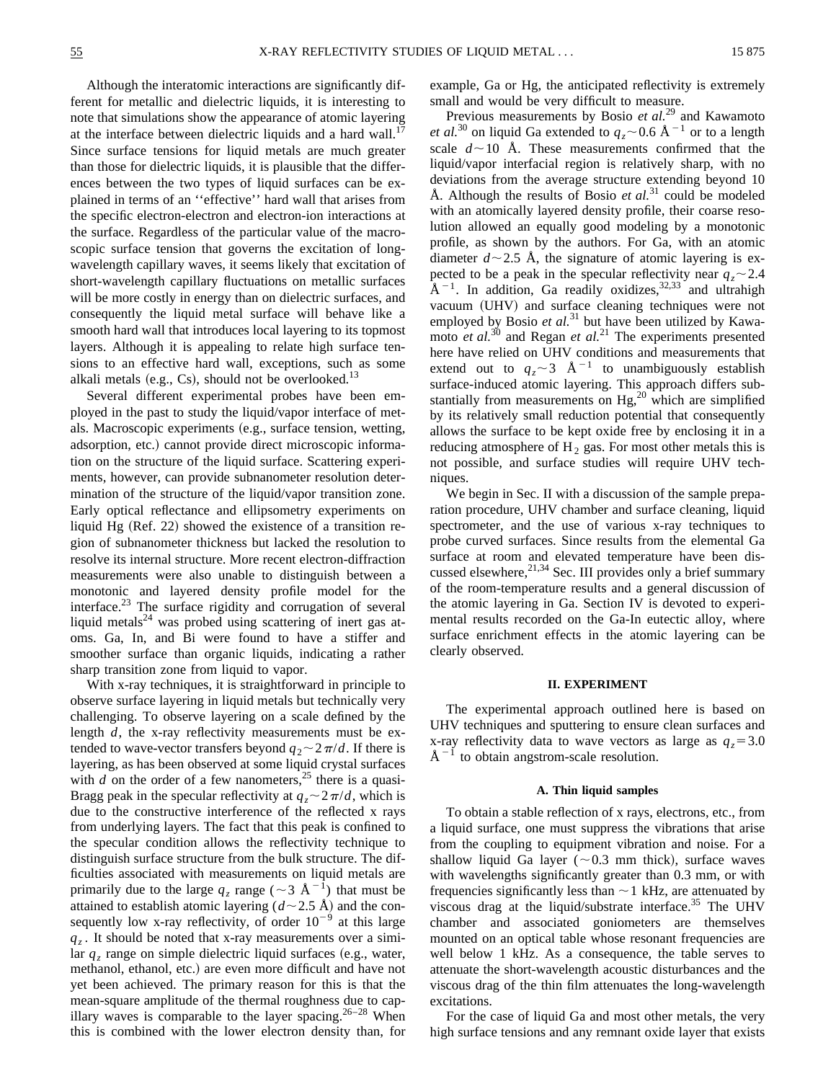Although the interatomic interactions are significantly different for metallic and dielectric liquids, it is interesting to note that simulations show the appearance of atomic layering at the interface between dielectric liquids and a hard wall.<sup>17</sup> Since surface tensions for liquid metals are much greater than those for dielectric liquids, it is plausible that the differences between the two types of liquid surfaces can be explained in terms of an ''effective'' hard wall that arises from the specific electron-electron and electron-ion interactions at the surface. Regardless of the particular value of the macroscopic surface tension that governs the excitation of longwavelength capillary waves, it seems likely that excitation of short-wavelength capillary fluctuations on metallic surfaces will be more costly in energy than on dielectric surfaces, and consequently the liquid metal surface will behave like a smooth hard wall that introduces local layering to its topmost layers. Although it is appealing to relate high surface tensions to an effective hard wall, exceptions, such as some alkali metals  $(e.g., Cs)$ , should not be overlooked.<sup>13</sup>

Several different experimental probes have been employed in the past to study the liquid/vapor interface of metals. Macroscopic experiments (e.g., surface tension, wetting, adsorption, etc.) cannot provide direct microscopic information on the structure of the liquid surface. Scattering experiments, however, can provide subnanometer resolution determination of the structure of the liquid/vapor transition zone. Early optical reflectance and ellipsometry experiments on liquid Hg  $(Ref. 22)$  showed the existence of a transition region of subnanometer thickness but lacked the resolution to resolve its internal structure. More recent electron-diffraction measurements were also unable to distinguish between a monotonic and layered density profile model for the interface.23 The surface rigidity and corrugation of several liquid metals $^{24}$  was probed using scattering of inert gas atoms. Ga, In, and Bi were found to have a stiffer and smoother surface than organic liquids, indicating a rather sharp transition zone from liquid to vapor.

With x-ray techniques, it is straightforward in principle to observe surface layering in liquid metals but technically very challenging. To observe layering on a scale defined by the length *d*, the x-ray reflectivity measurements must be extended to wave-vector transfers beyond  $q_2 \sim 2\pi/d$ . If there is layering, as has been observed at some liquid crystal surfaces with  $d$  on the order of a few nanometers,<sup>25</sup> there is a quasi-Bragg peak in the specular reflectivity at  $q_z \sim 2\pi/d$ , which is due to the constructive interference of the reflected x rays from underlying layers. The fact that this peak is confined to the specular condition allows the reflectivity technique to distinguish surface structure from the bulk structure. The difficulties associated with measurements on liquid metals are primarily due to the large  $q_z$  range ( $\sim$ 3 Å<sup>-1</sup>) that must be attained to establish atomic layering  $(d \sim 2.5 \text{ Å})$  and the consequently low x-ray reflectivity, of order  $10^{-9}$  at this large  $q_z$ . It should be noted that x-ray measurements over a similar  $q_z$  range on simple dielectric liquid surfaces (e.g., water, methanol, ethanol, etc.) are even more difficult and have not yet been achieved. The primary reason for this is that the mean-square amplitude of the thermal roughness due to capillary waves is comparable to the layer spacing.<sup>26–28</sup> When this is combined with the lower electron density than, for example, Ga or Hg, the anticipated reflectivity is extremely small and would be very difficult to measure.

Previous measurements by Bosio *et al.*<sup>29</sup> and Kawamoto *et al.*<sup>30</sup> on liquid Ga extended to  $q_z \sim 0.6$  Å <sup>-1</sup> or to a length scale  $d \sim 10$  Å. These measurements confirmed that the liquid/vapor interfacial region is relatively sharp, with no deviations from the average structure extending beyond 10 Å. Although the results of Bosio *et al.*<sup>31</sup> could be modeled with an atomically layered density profile, their coarse resolution allowed an equally good modeling by a monotonic profile, as shown by the authors. For Ga, with an atomic diameter  $d \sim 2.5$  Å, the signature of atomic layering is expected to be a peak in the specular reflectivity near  $q_z \sim 2.4$  $\AA^{-1}$ . In addition, Ga readily oxidizes,  $32,33$  and ultrahigh vacuum (UHV) and surface cleaning techniques were not employed by Bosio *et al.*<sup>31</sup> but have been utilized by Kawamoto *et al.*<sup>30</sup> and Regan *et al.*<sup>21</sup> The experiments presented here have relied on UHV conditions and measurements that extend out to  $q_z \sim 3$  Å<sup>-1</sup> to unambiguously establish surface-induced atomic layering. This approach differs substantially from measurements on  $Hg<sub>1</sub><sup>20</sup>$  which are simplified by its relatively small reduction potential that consequently allows the surface to be kept oxide free by enclosing it in a reducing atmosphere of  $H_2$  gas. For most other metals this is not possible, and surface studies will require UHV techniques.

We begin in Sec. II with a discussion of the sample preparation procedure, UHV chamber and surface cleaning, liquid spectrometer, and the use of various x-ray techniques to probe curved surfaces. Since results from the elemental Ga surface at room and elevated temperature have been discussed elsewhere,  $2^{1,34}$  Sec. III provides only a brief summary of the room-temperature results and a general discussion of the atomic layering in Ga. Section IV is devoted to experimental results recorded on the Ga-In eutectic alloy, where surface enrichment effects in the atomic layering can be clearly observed.

## **II. EXPERIMENT**

The experimental approach outlined here is based on UHV techniques and sputtering to ensure clean surfaces and x-ray reflectivity data to wave vectors as large as  $q_z = 3.0$  $\AA^{-1}$  to obtain angstrom-scale resolution.

## **A. Thin liquid samples**

To obtain a stable reflection of x rays, electrons, etc., from a liquid surface, one must suppress the vibrations that arise from the coupling to equipment vibration and noise. For a shallow liquid Ga layer ( $\sim$ 0.3 mm thick), surface waves with wavelengths significantly greater than 0.3 mm, or with frequencies significantly less than  $\sim$  1 kHz, are attenuated by viscous drag at the liquid/substrate interface.<sup>35</sup> The UHV chamber and associated goniometers are themselves mounted on an optical table whose resonant frequencies are well below 1 kHz. As a consequence, the table serves to attenuate the short-wavelength acoustic disturbances and the viscous drag of the thin film attenuates the long-wavelength excitations.

For the case of liquid Ga and most other metals, the very high surface tensions and any remnant oxide layer that exists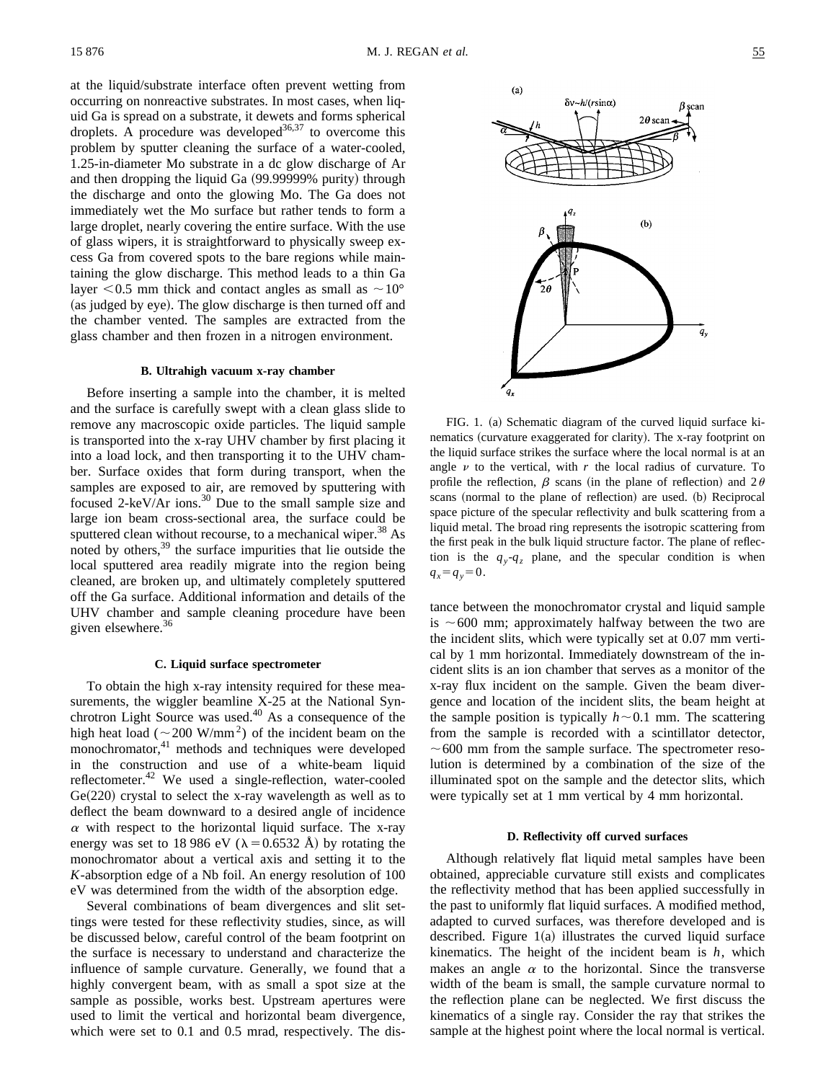at the liquid/substrate interface often prevent wetting from occurring on nonreactive substrates. In most cases, when liquid Ga is spread on a substrate, it dewets and forms spherical droplets. A procedure was developed  $36,37$  to overcome this problem by sputter cleaning the surface of a water-cooled, 1.25-in-diameter Mo substrate in a dc glow discharge of Ar and then dropping the liquid Ga  $(99.99999\%$  purity) through the discharge and onto the glowing Mo. The Ga does not immediately wet the Mo surface but rather tends to form a large droplet, nearly covering the entire surface. With the use of glass wipers, it is straightforward to physically sweep excess Ga from covered spots to the bare regions while maintaining the glow discharge. This method leads to a thin Ga layer  $< 0.5$  mm thick and contact angles as small as  $\sim 10^{\circ}$ (as judged by eye). The glow discharge is then turned off and the chamber vented. The samples are extracted from the glass chamber and then frozen in a nitrogen environment.

#### **B. Ultrahigh vacuum x-ray chamber**

Before inserting a sample into the chamber, it is melted and the surface is carefully swept with a clean glass slide to remove any macroscopic oxide particles. The liquid sample is transported into the x-ray UHV chamber by first placing it into a load lock, and then transporting it to the UHV chamber. Surface oxides that form during transport, when the samples are exposed to air, are removed by sputtering with focused 2-keV/Ar ions.<sup>30</sup> Due to the small sample size and large ion beam cross-sectional area, the surface could be sputtered clean without recourse, to a mechanical wiper.<sup>38</sup> As noted by others,<sup>39</sup> the surface impurities that lie outside the local sputtered area readily migrate into the region being cleaned, are broken up, and ultimately completely sputtered off the Ga surface. Additional information and details of the UHV chamber and sample cleaning procedure have been given elsewhere. $36$ 

#### **C. Liquid surface spectrometer**

To obtain the high x-ray intensity required for these measurements, the wiggler beamline X-25 at the National Synchrotron Light Source was used.<sup>40</sup> As a consequence of the high heat load ( $\sim$ 200 W/mm<sup>2</sup>) of the incident beam on the monochromator,<sup>41</sup> methods and techniques were developed in the construction and use of a white-beam liquid reflectometer.<sup>42</sup> We used a single-reflection, water-cooled  $Ge(220)$  crystal to select the x-ray wavelength as well as to deflect the beam downward to a desired angle of incidence  $\alpha$  with respect to the horizontal liquid surface. The x-ray energy was set to 18 986 eV ( $\lambda$ =0.6532 Å) by rotating the monochromator about a vertical axis and setting it to the *K*-absorption edge of a Nb foil. An energy resolution of 100 eV was determined from the width of the absorption edge.

Several combinations of beam divergences and slit settings were tested for these reflectivity studies, since, as will be discussed below, careful control of the beam footprint on the surface is necessary to understand and characterize the influence of sample curvature. Generally, we found that a highly convergent beam, with as small a spot size at the sample as possible, works best. Upstream apertures were used to limit the vertical and horizontal beam divergence, which were set to 0.1 and 0.5 mrad, respectively. The dis-



FIG. 1. (a) Schematic diagram of the curved liquid surface kinematics (curvature exaggerated for clarity). The x-ray footprint on the liquid surface strikes the surface where the local normal is at an angle  $\nu$  to the vertical, with  $r$  the local radius of curvature. To profile the reflection,  $\beta$  scans (in the plane of reflection) and  $2\theta$ scans (normal to the plane of reflection) are used. (b) Reciprocal space picture of the specular reflectivity and bulk scattering from a liquid metal. The broad ring represents the isotropic scattering from the first peak in the bulk liquid structure factor. The plane of reflection is the  $q_y - q_z$  plane, and the specular condition is when  $q_x = q_y = 0$ .

tance between the monochromator crystal and liquid sample is  $\sim 600$  mm; approximately halfway between the two are the incident slits, which were typically set at 0.07 mm vertical by 1 mm horizontal. Immediately downstream of the incident slits is an ion chamber that serves as a monitor of the x-ray flux incident on the sample. Given the beam divergence and location of the incident slits, the beam height at the sample position is typically  $h \sim 0.1$  mm. The scattering from the sample is recorded with a scintillator detector,  $\sim600$  mm from the sample surface. The spectrometer resolution is determined by a combination of the size of the illuminated spot on the sample and the detector slits, which were typically set at 1 mm vertical by 4 mm horizontal.

#### **D. Reflectivity off curved surfaces**

Although relatively flat liquid metal samples have been obtained, appreciable curvature still exists and complicates the reflectivity method that has been applied successfully in the past to uniformly flat liquid surfaces. A modified method, adapted to curved surfaces, was therefore developed and is described. Figure  $1(a)$  illustrates the curved liquid surface kinematics. The height of the incident beam is *h*, which makes an angle  $\alpha$  to the horizontal. Since the transverse width of the beam is small, the sample curvature normal to the reflection plane can be neglected. We first discuss the kinematics of a single ray. Consider the ray that strikes the sample at the highest point where the local normal is vertical.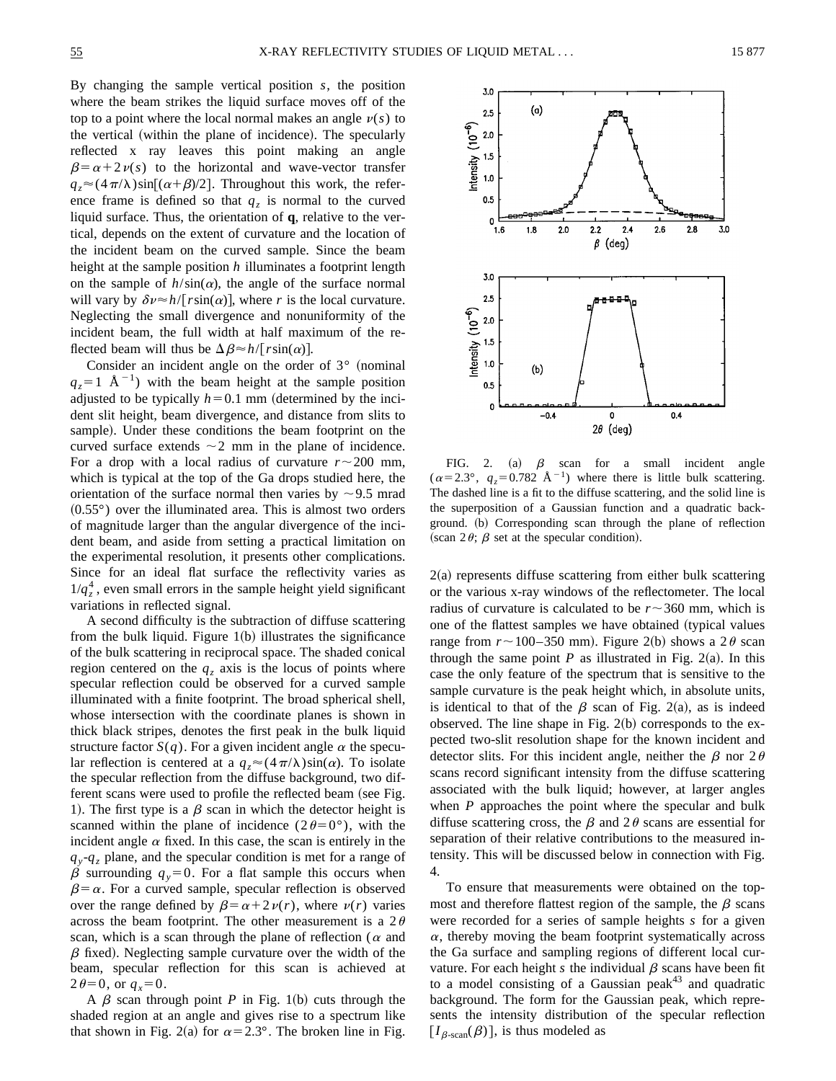By changing the sample vertical position *s*, the position where the beam strikes the liquid surface moves off of the top to a point where the local normal makes an angle  $v(s)$  to the vertical (within the plane of incidence). The specularly reflected x ray leaves this point making an angle  $\beta = \alpha + 2 \nu(s)$  to the horizontal and wave-vector transfer  $q_z \approx (4\pi/\lambda)\sin[(\alpha+\beta)/2]$ . Throughout this work, the reference frame is defined so that  $q<sub>z</sub>$  is normal to the curved liquid surface. Thus, the orientation of **q**, relative to the vertical, depends on the extent of curvature and the location of the incident beam on the curved sample. Since the beam height at the sample position *h* illuminates a footprint length on the sample of  $h/\sin(\alpha)$ , the angle of the surface normal will vary by  $\delta \nu \approx h / [r \sin(\alpha)]$ , where *r* is the local curvature. Neglecting the small divergence and nonuniformity of the incident beam, the full width at half maximum of the reflected beam will thus be  $\Delta \beta \approx h / [r \sin(\alpha)].$ 

Consider an incident angle on the order of  $3°$  (nominal  $q_z = 1$  Å<sup>-1</sup>) with the beam height at the sample position adjusted to be typically  $h=0.1$  mm (determined by the incident slit height, beam divergence, and distance from slits to sample). Under these conditions the beam footprint on the curved surface extends  $\sim$  2 mm in the plane of incidence. For a drop with a local radius of curvature  $r \sim 200$  mm, which is typical at the top of the Ga drops studied here, the orientation of the surface normal then varies by  $\sim$  9.5 mrad  $(0.55^{\circ})$  over the illuminated area. This is almost two orders of magnitude larger than the angular divergence of the incident beam, and aside from setting a practical limitation on the experimental resolution, it presents other complications. Since for an ideal flat surface the reflectivity varies as  $1/q_z^4$ , even small errors in the sample height yield significant variations in reflected signal.

A second difficulty is the subtraction of diffuse scattering from the bulk liquid. Figure  $1(b)$  illustrates the significance of the bulk scattering in reciprocal space. The shaded conical region centered on the  $q_z$  axis is the locus of points where specular reflection could be observed for a curved sample illuminated with a finite footprint. The broad spherical shell, whose intersection with the coordinate planes is shown in thick black stripes, denotes the first peak in the bulk liquid structure factor  $S(q)$ . For a given incident angle  $\alpha$  the specular reflection is centered at a  $q_z \approx (4\pi/\lambda)\sin(\alpha)$ . To isolate the specular reflection from the diffuse background, two different scans were used to profile the reflected beam (see Fig. 1). The first type is a  $\beta$  scan in which the detector height is scanned within the plane of incidence  $(2\theta=0^{\circ})$ , with the incident angle  $\alpha$  fixed. In this case, the scan is entirely in the  $q_y - q_z$  plane, and the specular condition is met for a range of  $\beta$  surrounding  $q_y=0$ . For a flat sample this occurs when  $\beta = \alpha$ . For a curved sample, specular reflection is observed over the range defined by  $\beta = \alpha + 2 \nu(r)$ , where  $\nu(r)$  varies across the beam footprint. The other measurement is a  $2\theta$ scan, which is a scan through the plane of reflection ( $\alpha$  and  $\beta$  fixed). Neglecting sample curvature over the width of the beam, specular reflection for this scan is achieved at  $2\theta=0$ , or  $q_x=0$ .

A  $\beta$  scan through point *P* in Fig. 1(b) cuts through the shaded region at an angle and gives rise to a spectrum like that shown in Fig. 2(a) for  $\alpha=2.3^{\circ}$ . The broken line in Fig.



FIG. 2. (a)  $\beta$  scan for a small incident angle  $(\alpha=2.3^{\circ}, q_z=0.782 \text{ Å}^{-1})$  where there is little bulk scattering. The dashed line is a fit to the diffuse scattering, and the solid line is the superposition of a Gaussian function and a quadratic background. (b) Corresponding scan through the plane of reflection (scan  $2\theta$ ;  $\beta$  set at the specular condition).

 $2(a)$  represents diffuse scattering from either bulk scattering or the various x-ray windows of the reflectometer. The local radius of curvature is calculated to be  $r \sim 360$  mm, which is one of the flattest samples we have obtained (typical values range from  $r \sim 100-350$  mm). Figure 2(b) shows a 2 $\theta$  scan through the same point  $P$  as illustrated in Fig. 2(a). In this case the only feature of the spectrum that is sensitive to the sample curvature is the peak height which, in absolute units, is identical to that of the  $\beta$  scan of Fig. 2(a), as is indeed observed. The line shape in Fig.  $2(b)$  corresponds to the expected two-slit resolution shape for the known incident and detector slits. For this incident angle, neither the  $\beta$  nor  $2\theta$ scans record significant intensity from the diffuse scattering associated with the bulk liquid; however, at larger angles when *P* approaches the point where the specular and bulk diffuse scattering cross, the  $\beta$  and 2 $\theta$  scans are essential for separation of their relative contributions to the measured intensity. This will be discussed below in connection with Fig. 4.

To ensure that measurements were obtained on the topmost and therefore flattest region of the sample, the  $\beta$  scans were recorded for a series of sample heights *s* for a given  $\alpha$ , thereby moving the beam footprint systematically across the Ga surface and sampling regions of different local curvature. For each height  $s$  the individual  $\beta$  scans have been fit to a model consisting of a Gaussian peak<sup>43</sup> and quadratic background. The form for the Gaussian peak, which represents the intensity distribution of the specular reflection  $[I_{\beta\text{-}scan}(\beta)]$ , is thus modeled as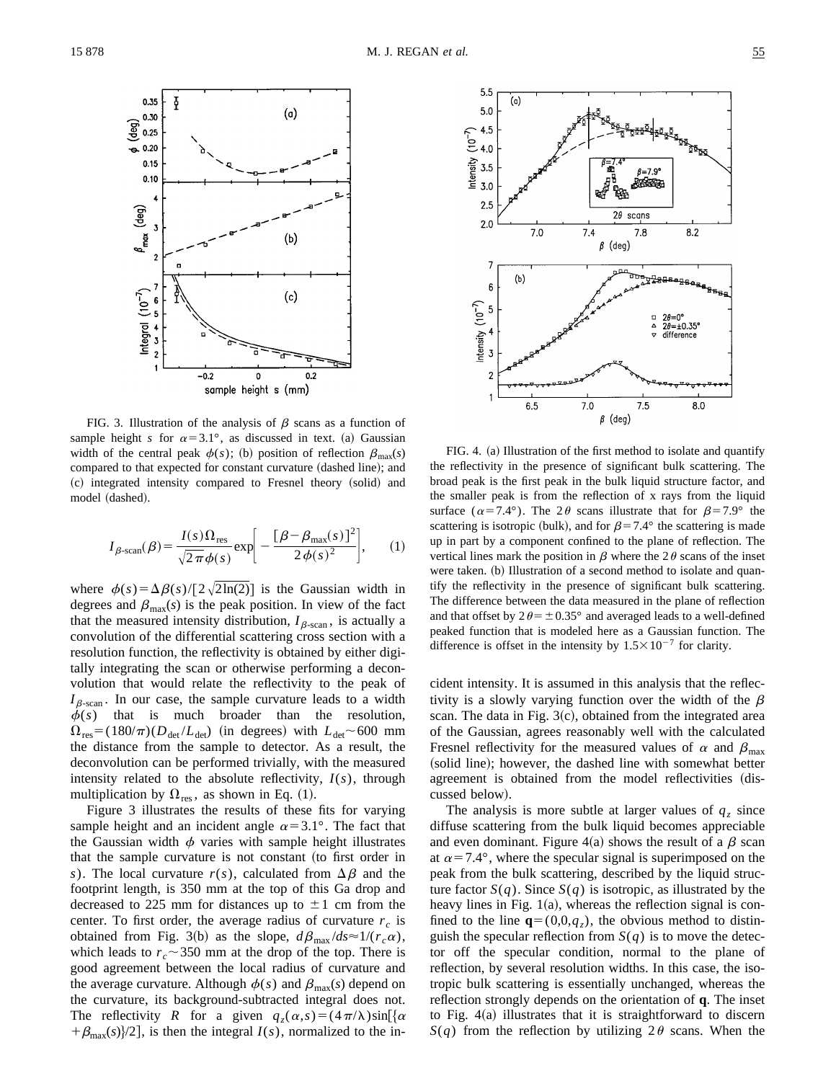

FIG. 3. Illustration of the analysis of  $\beta$  scans as a function of sample height *s* for  $\alpha=3.1^\circ$ , as discussed in text. (a) Gaussian width of the central peak  $\phi(s)$ ; (b) position of reflection  $\beta_{\text{max}}(s)$ compared to that expected for constant curvature (dashed line); and (c) integrated intensity compared to Fresnel theory (solid) and model (dashed).

$$
I_{\beta\text{-scan}}(\beta) = \frac{I(s)\Omega_{\text{res}}}{\sqrt{2\pi}\phi(s)} \exp\bigg[-\frac{[\beta-\beta_{\text{max}}(s)]^2}{2\phi(s)^2}\bigg],\qquad(1)
$$

where  $\phi(s) = \Delta \beta(s)/[2\sqrt{2\ln(2)}]$  is the Gaussian width in degrees and  $\beta_{\text{max}}(s)$  is the peak position. In view of the fact that the measured intensity distribution,  $I_{\beta\text{-scan}}$ , is actually a convolution of the differential scattering cross section with a resolution function, the reflectivity is obtained by either digitally integrating the scan or otherwise performing a deconvolution that would relate the reflectivity to the peak of  $I_{\beta$ -scan . In our case, the sample curvature leads to a width  $\phi(s)$  that is much broader than the resolution,  $\Omega_{\text{res}} = (180/\pi)(D_{\text{det}}/L_{\text{det}})$  (in degrees) with  $L_{\text{det}} \sim 600$  mm the distance from the sample to detector. As a result, the deconvolution can be performed trivially, with the measured intensity related to the absolute reflectivity, *I*(*s*), through multiplication by  $\Omega_{res}$ , as shown in Eq. (1).

Figure 3 illustrates the results of these fits for varying sample height and an incident angle  $\alpha=3.1^{\circ}$ . The fact that the Gaussian width  $\phi$  varies with sample height illustrates that the sample curvature is not constant (to first order in *s*). The local curvature  $r(s)$ , calculated from  $\Delta \beta$  and the footprint length, is 350 mm at the top of this Ga drop and decreased to 225 mm for distances up to  $\pm 1$  cm from the center. To first order, the average radius of curvature  $r_c$  is obtained from Fig. 3(b) as the slope,  $d\beta_{\text{max}}/ds \approx 1/(r_c \alpha)$ , which leads to  $r_c \sim 350$  mm at the drop of the top. There is good agreement between the local radius of curvature and the average curvature. Although  $\phi(s)$  and  $\beta_{\text{max}}(s)$  depend on the curvature, its background-subtracted integral does not. The reflectivity *R* for a given  $q_z(\alpha, s) = (4\pi/\lambda) \sin[\alpha$  $+\beta_{\text{max}}(s)/2$ , is then the integral *I*(*s*), normalized to the in-



FIG. 4. (a) Illustration of the first method to isolate and quantify the reflectivity in the presence of significant bulk scattering. The broad peak is the first peak in the bulk liquid structure factor, and the smaller peak is from the reflection of x rays from the liquid surface ( $\alpha$ =7.4°). The 2 $\theta$  scans illustrate that for  $\beta$ =7.9° the scattering is isotropic (bulk), and for  $\beta$ =7.4° the scattering is made up in part by a component confined to the plane of reflection. The vertical lines mark the position in  $\beta$  where the 2 $\theta$  scans of the inset were taken. (b) Illustration of a second method to isolate and quantify the reflectivity in the presence of significant bulk scattering. The difference between the data measured in the plane of reflection and that offset by  $2\theta = \pm 0.35^{\circ}$  and averaged leads to a well-defined peaked function that is modeled here as a Gaussian function. The difference is offset in the intensity by  $1.5 \times 10^{-7}$  for clarity.

cident intensity. It is assumed in this analysis that the reflectivity is a slowly varying function over the width of the  $\beta$ scan. The data in Fig.  $3(c)$ , obtained from the integrated area of the Gaussian, agrees reasonably well with the calculated Fresnel reflectivity for the measured values of  $\alpha$  and  $\beta_{\text{max}}$ (solid line); however, the dashed line with somewhat better agreement is obtained from the model reflectivities (discussed below).

The analysis is more subtle at larger values of  $q<sub>z</sub>$  since diffuse scattering from the bulk liquid becomes appreciable and even dominant. Figure 4(a) shows the result of a  $\beta$  scan at  $\alpha$ =7.4°, where the specular signal is superimposed on the peak from the bulk scattering, described by the liquid structure factor  $S(q)$ . Since  $S(q)$  is isotropic, as illustrated by the heavy lines in Fig.  $1(a)$ , whereas the reflection signal is confined to the line  $\mathbf{q}=(0,0,q_z)$ , the obvious method to distinguish the specular reflection from  $S(q)$  is to move the detector off the specular condition, normal to the plane of reflection, by several resolution widths. In this case, the isotropic bulk scattering is essentially unchanged, whereas the reflection strongly depends on the orientation of **q**. The inset to Fig.  $4(a)$  illustrates that it is straightforward to discern  $S(q)$  from the reflection by utilizing  $2\theta$  scans. When the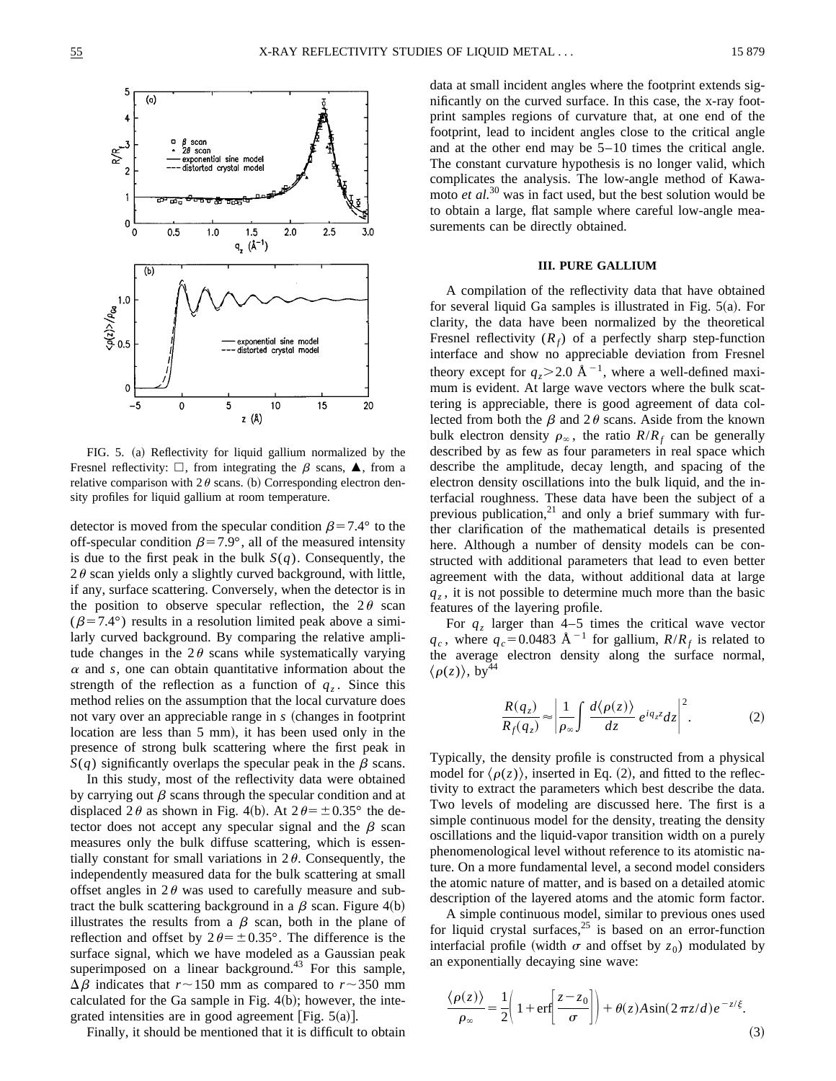

FIG. 5. (a) Reflectivity for liquid gallium normalized by the Fresnel reflectivity:  $\Box$ , from integrating the  $\beta$  scans,  $\blacktriangle$ , from a relative comparison with  $2\theta$  scans. (b) Corresponding electron density profiles for liquid gallium at room temperature.

detector is moved from the specular condition  $\beta$ =7.4° to the off-specular condition  $\beta$ =7.9°, all of the measured intensity is due to the first peak in the bulk  $S(q)$ . Consequently, the  $2\theta$  scan yields only a slightly curved background, with little, if any, surface scattering. Conversely, when the detector is in the position to observe specular reflection, the  $2\theta$  scan  $(\beta=7.4^{\circ})$  results in a resolution limited peak above a similarly curved background. By comparing the relative amplitude changes in the  $2\theta$  scans while systematically varying  $\alpha$  and *s*, one can obtain quantitative information about the strength of the reflection as a function of  $q<sub>z</sub>$ . Since this method relies on the assumption that the local curvature does not vary over an appreciable range in *s* (changes in footprint location are less than 5 mm), it has been used only in the presence of strong bulk scattering where the first peak in  $S(q)$  significantly overlaps the specular peak in the  $\beta$  scans.

In this study, most of the reflectivity data were obtained by carrying out  $\beta$  scans through the specular condition and at displaced 2 $\theta$  as shown in Fig. 4(b). At  $2\theta = \pm 0.35^{\circ}$  the detector does not accept any specular signal and the  $\beta$  scan measures only the bulk diffuse scattering, which is essentially constant for small variations in  $2\theta$ . Consequently, the independently measured data for the bulk scattering at small offset angles in  $2\theta$  was used to carefully measure and subtract the bulk scattering background in a  $\beta$  scan. Figure 4(b) illustrates the results from a  $\beta$  scan, both in the plane of reflection and offset by  $2\theta = \pm 0.35^{\circ}$ . The difference is the surface signal, which we have modeled as a Gaussian peak superimposed on a linear background.<sup>43</sup> For this sample,  $\Delta \beta$  indicates that  $r \sim 150$  mm as compared to  $r \sim 350$  mm calculated for the Ga sample in Fig.  $4(b)$ ; however, the integrated intensities are in good agreement [Fig.  $5(a)$ ].

Finally, it should be mentioned that it is difficult to obtain

data at small incident angles where the footprint extends significantly on the curved surface. In this case, the x-ray footprint samples regions of curvature that, at one end of the footprint, lead to incident angles close to the critical angle and at the other end may be 5–10 times the critical angle. The constant curvature hypothesis is no longer valid, which complicates the analysis. The low-angle method of Kawamoto *et al.*<sup>30</sup> was in fact used, but the best solution would be to obtain a large, flat sample where careful low-angle measurements can be directly obtained.

### **III. PURE GALLIUM**

A compilation of the reflectivity data that have obtained for several liquid Ga samples is illustrated in Fig.  $5(a)$ . For clarity, the data have been normalized by the theoretical Fresnel reflectivity  $(R_f)$  of a perfectly sharp step-function interface and show no appreciable deviation from Fresnel theory except for  $q_7 > 2.0 \text{ Å}^{-1}$ , where a well-defined maximum is evident. At large wave vectors where the bulk scattering is appreciable, there is good agreement of data collected from both the  $\beta$  and  $2\theta$  scans. Aside from the known bulk electron density  $\rho_{\infty}$ , the ratio  $R/R_f$  can be generally described by as few as four parameters in real space which describe the amplitude, decay length, and spacing of the electron density oscillations into the bulk liquid, and the interfacial roughness. These data have been the subject of a previous publication, $^{21}$  and only a brief summary with further clarification of the mathematical details is presented here. Although a number of density models can be constructed with additional parameters that lead to even better agreement with the data, without additional data at large  $q<sub>z</sub>$ , it is not possible to determine much more than the basic features of the layering profile.

For  $q_z$  larger than  $4-5$  times the critical wave vector  $q_c$ , where  $q_c$ =0.0483 Å<sup>-1</sup> for gallium,  $R/R_f$  is related to the average electron density along the surface normal,  $\langle \rho(z) \rangle$ , by<sup>4</sup>

$$
\frac{R(q_z)}{R_f(q_z)} \approx \left| \frac{1}{\rho_\infty} \int \frac{d\langle \rho(z) \rangle}{dz} e^{iq_z z} dz \right|^2.
$$
 (2)

Typically, the density profile is constructed from a physical model for  $\langle \rho(z) \rangle$ , inserted in Eq. (2), and fitted to the reflectivity to extract the parameters which best describe the data. Two levels of modeling are discussed here. The first is a simple continuous model for the density, treating the density oscillations and the liquid-vapor transition width on a purely phenomenological level without reference to its atomistic nature. On a more fundamental level, a second model considers the atomic nature of matter, and is based on a detailed atomic description of the layered atoms and the atomic form factor.

A simple continuous model, similar to previous ones used for liquid crystal surfaces,<sup>25</sup> is based on an error-function interfacial profile (width  $\sigma$  and offset by  $z_0$ ) modulated by an exponentially decaying sine wave:

$$
\frac{\langle \rho(z) \rangle}{\rho_{\infty}} = \frac{1}{2} \left( 1 + \text{erf} \left[ \frac{z - z_0}{\sigma} \right] \right) + \theta(z) A \sin(2 \pi z/d) e^{-z/\xi}.
$$
\n(3)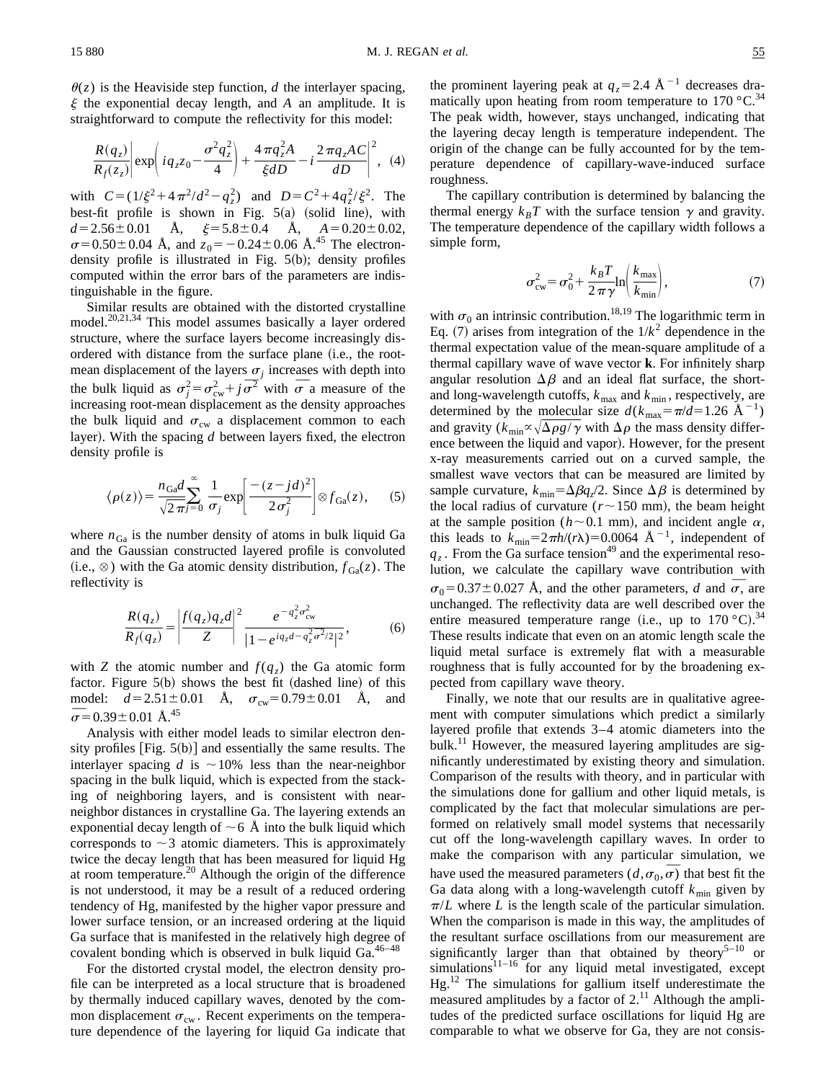$\theta(z)$  is the Heaviside step function, *d* the interlayer spacing,  $\xi$  the exponential decay length, and  $\overline{A}$  an amplitude. It is straightforward to compute the reflectivity for this model:

$$
\frac{R(q_z)}{R_f(z_z)} \bigg| \exp \bigg( i q_z z_0 - \frac{\sigma^2 q_z^2}{4} \bigg) + \frac{4 \pi q_z^2 A}{\xi dD} - i \frac{2 \pi q_z AC}{dD} \bigg|^2, \tag{4}
$$

with  $C = (1/\xi^2 + 4\pi^2/d^2 - q_z^2)$  and  $D = C^2 + 4q_z^2/\xi^2$ . The best-fit profile is shown in Fig.  $5(a)$  (solid line), with  $d=2.56\pm0.01$  Å,  $\xi=5.8\pm0.4$  Å,  $A=0.20\pm0.02$ ,  $\sigma$ =0.50±0.04 Å, and  $z_0$ = -0.24±0.06 Å.<sup>45</sup> The electrondensity profile is illustrated in Fig.  $5(b)$ ; density profiles computed within the error bars of the parameters are indistinguishable in the figure.

Similar results are obtained with the distorted crystalline model.<sup>20,21,34</sup> This model assumes basically a layer ordered structure, where the surface layers become increasingly disordered with distance from the surface plane (i.e., the rootmean displacement of the layers  $\sigma_i$  increases with depth into the bulk liquid as  $\sigma_j^2 = \sigma_{\text{cw}}^2 + j \overline{\sigma}^2$  with  $\overline{\sigma}$  a measure of the increasing root-mean displacement as the density approaches the bulk liquid and  $\sigma_{\rm cw}$  a displacement common to each layer). With the spacing *d* between layers fixed, the electron density profile is

$$
\langle \rho(z) \rangle = \frac{n_{\text{Ga}}d}{\sqrt{2\pi}} \sum_{j=0}^{\infty} \frac{1}{\sigma_j} \exp\left[\frac{-(z-jd)^2}{2\sigma_j^2}\right] \otimes f_{\text{Ga}}(z), \quad (5)
$$

where  $n_{Ga}$  is the number density of atoms in bulk liquid Ga and the Gaussian constructed layered profile is convoluted (i.e.,  $\otimes$ ) with the Ga atomic density distribution,  $f_{Ga}(z)$ . The reflectivity is

$$
\frac{R(q_z)}{R_f(q_z)} = \left| \frac{f(q_z)q_z d}{Z} \right|^2 \frac{e^{-q_z^2 \sigma_{\text{cw}}^2}}{|1 - e^{iq_z d - q_z^2 \overline{\sigma}^2/2}|^2},\tag{6}
$$

with *Z* the atomic number and  $f(q_z)$  the Ga atomic form factor. Figure  $5(b)$  shows the best fit (dashed line) of this model:  $d=2.51\pm0.01$  Å,  $\sigma_{\text{cw}}=0.79\pm0.01$  Å, and model:  $a = 2.51 \pm \overline{\sigma} = 0.39 \pm 0.01 \text{ Å}.^{45}$ 

Analysis with either model leads to similar electron density profiles  $[Fig. 5(b)]$  and essentially the same results. The interlayer spacing  $d$  is  $\sim$ 10% less than the near-neighbor spacing in the bulk liquid, which is expected from the stacking of neighboring layers, and is consistent with nearneighbor distances in crystalline Ga. The layering extends an exponential decay length of  $\sim$  6 Å into the bulk liquid which corresponds to  $\sim$ 3 atomic diameters. This is approximately twice the decay length that has been measured for liquid Hg at room temperature.<sup>20</sup> Although the origin of the difference is not understood, it may be a result of a reduced ordering tendency of Hg, manifested by the higher vapor pressure and lower surface tension, or an increased ordering at the liquid Ga surface that is manifested in the relatively high degree of covalent bonding which is observed in bulk liquid  $Ga^{46-48}$ 

For the distorted crystal model, the electron density profile can be interpreted as a local structure that is broadened by thermally induced capillary waves, denoted by the common displacement  $\sigma_{\text{cw}}$ . Recent experiments on the temperature dependence of the layering for liquid Ga indicate that

the prominent layering peak at  $q_z = 2.4 \text{ Å}^{-1}$  decreases dramatically upon heating from room temperature to  $170^{\circ}$ C.<sup>34</sup> The peak width, however, stays unchanged, indicating that the layering decay length is temperature independent. The origin of the change can be fully accounted for by the temperature dependence of capillary-wave-induced surface roughness.

The capillary contribution is determined by balancing the thermal energy  $k_B T$  with the surface tension  $\gamma$  and gravity. The temperature dependence of the capillary width follows a simple form,

$$
\sigma_{\rm cw}^2 = \sigma_0^2 + \frac{k_B T}{2 \pi \gamma} \ln \left( \frac{k_{\rm max}}{k_{\rm min}} \right),\tag{7}
$$

with  $\sigma_0$  an intrinsic contribution.<sup>18,19</sup> The logarithmic term in Eq. (7) arises from integration of the  $1/k^2$  dependence in the thermal expectation value of the mean-square amplitude of a thermal capillary wave of wave vector **k**. For infinitely sharp angular resolution  $\Delta \beta$  and an ideal flat surface, the shortand long-wavelength cutoffs,  $k_{\text{max}}$  and  $k_{\text{min}}$ , respectively, are determined by the molecular size  $d(k_{\text{max}}=\pi/d=1.26 \text{ Å}^{-1})$ and gravity ( $k_{\text{min}} \propto \sqrt{\Delta \rho g / \gamma}$  with  $\Delta \rho$  the mass density difference between the liquid and vapor). However, for the present x-ray measurements carried out on a curved sample, the smallest wave vectors that can be measured are limited by sample curvature,  $k_{\text{min}} = \Delta \beta q_z/2$ . Since  $\Delta \beta$  is determined by the local radius of curvature ( $r \sim 150$  mm), the beam height at the sample position ( $h \sim 0.1$  mm), and incident angle  $\alpha$ , this leads to  $k_{\text{min}}=2\pi h/(r\lambda)=0.0064 \text{ Å}^{-1}$ , independent of  $q_z$ . From the Ga surface tension<sup>49</sup> and the experimental resolution, we calculate the capillary wave contribution with fution, we calculate the capillary wave contribution with  $\sigma_0 = 0.37 \pm 0.027$  Å, and the other parameters, *d* and  $\overline{\sigma}$ , are unchanged. The reflectivity data are well described over the entire measured temperature range (i.e., up to  $170 \degree C$ ).<sup>34</sup> These results indicate that even on an atomic length scale the liquid metal surface is extremely flat with a measurable roughness that is fully accounted for by the broadening expected from capillary wave theory.

Finally, we note that our results are in qualitative agreement with computer simulations which predict a similarly layered profile that extends 3–4 atomic diameters into the bulk.11 However, the measured layering amplitudes are significantly underestimated by existing theory and simulation. Comparison of the results with theory, and in particular with the simulations done for gallium and other liquid metals, is complicated by the fact that molecular simulations are performed on relatively small model systems that necessarily cut off the long-wavelength capillary waves. In order to make the comparison with any particular simulation, we make the comparison with any particular simulation, we<br>have used the measured parameters  $(d, \sigma_0, \overline{\sigma})$  that best fit the Ga data along with a long-wavelength cutoff  $k_{\text{min}}$  given by  $\pi/L$  where *L* is the length scale of the particular simulation. When the comparison is made in this way, the amplitudes of the resultant surface oscillations from our measurement are significantly larger than that obtained by theory<sup>5–10</sup> or simulations $11-16$  for any liquid metal investigated, except Hg.12 The simulations for gallium itself underestimate the measured amplitudes by a factor of  $2<sup>11</sup>$  Although the amplitudes of the predicted surface oscillations for liquid Hg are comparable to what we observe for Ga, they are not consis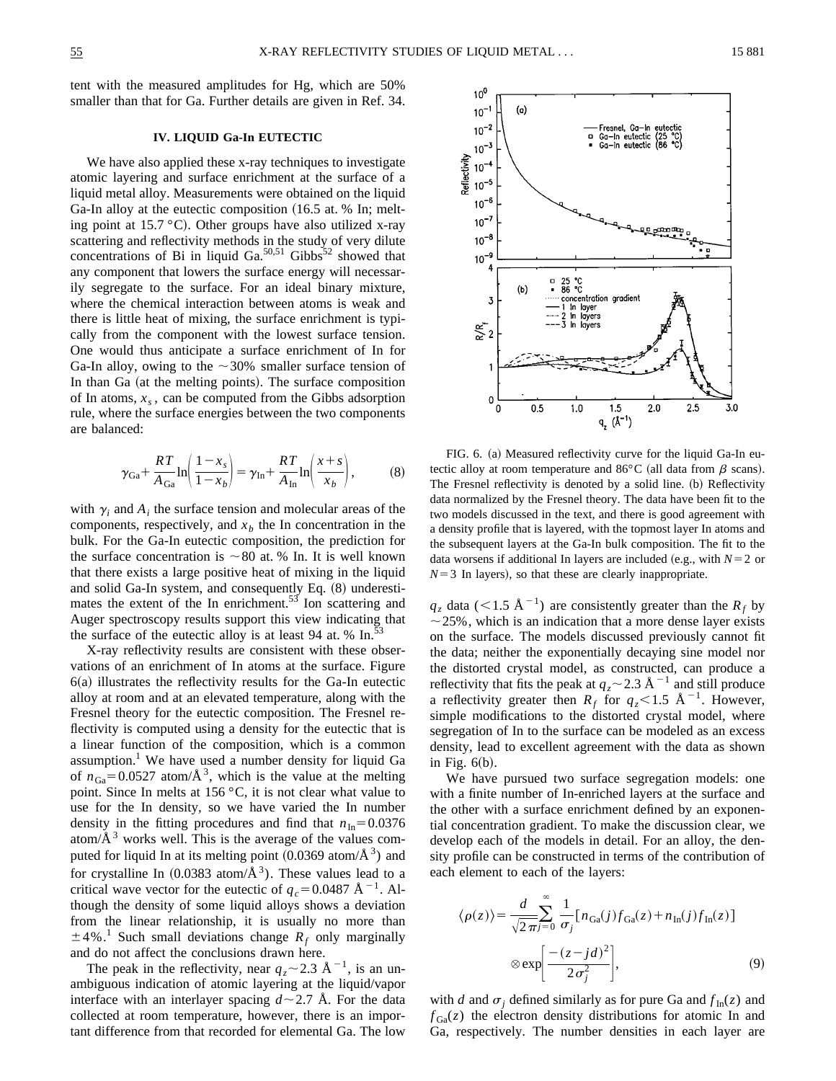tent with the measured amplitudes for Hg, which are 50% smaller than that for Ga. Further details are given in Ref. 34.

## **IV. LIQUID Ga-In EUTECTIC**

We have also applied these x-ray techniques to investigate atomic layering and surface enrichment at the surface of a liquid metal alloy. Measurements were obtained on the liquid Ga-In alloy at the eutectic composition  $(16.5 \text{ at. } %$  In; melting point at  $15.7 \degree C$ ). Other groups have also utilized x-ray scattering and reflectivity methods in the study of very dilute concentrations of Bi in liquid  $Ga^{50,51}$  Gibbs<sup>52</sup> showed that any component that lowers the surface energy will necessarily segregate to the surface. For an ideal binary mixture, where the chemical interaction between atoms is weak and there is little heat of mixing, the surface enrichment is typically from the component with the lowest surface tension. One would thus anticipate a surface enrichment of In for Ga-In alloy, owing to the  $\sim$  30% smaller surface tension of In than Ga (at the melting points). The surface composition of In atoms,  $x_s$ , can be computed from the Gibbs adsorption rule, where the surface energies between the two components are balanced:

$$
\gamma_{\text{Ga}} + \frac{RT}{A_{\text{Ga}}} \ln \left( \frac{1 - x_s}{1 - x_b} \right) = \gamma_{\text{In}} + \frac{RT}{A_{\text{In}}} \ln \left( \frac{x + s}{x_b} \right),\tag{8}
$$

with  $\gamma_i$  and  $A_i$  the surface tension and molecular areas of the components, respectively, and  $x<sub>b</sub>$  the In concentration in the bulk. For the Ga-In eutectic composition, the prediction for the surface concentration is  $\sim 80$  at. % In. It is well known that there exists a large positive heat of mixing in the liquid and solid Ga-In system, and consequently Eq.  $(8)$  underestimates the extent of the In enrichment.<sup>53</sup> Ion scattering and Auger spectroscopy results support this view indicating that the surface of the eutectic alloy is at least 94 at.  $% \text{ In.}^{5}$ 

X-ray reflectivity results are consistent with these observations of an enrichment of In atoms at the surface. Figure  $6(a)$  illustrates the reflectivity results for the Ga-In eutectic alloy at room and at an elevated temperature, along with the Fresnel theory for the eutectic composition. The Fresnel reflectivity is computed using a density for the eutectic that is a linear function of the composition, which is a common assumption.<sup>1</sup> We have used a number density for liquid Ga of  $n_{Ga} = 0.0527$  atom/ $\AA$ <sup>3</sup>, which is the value at the melting point. Since In melts at 156 °C, it is not clear what value to use for the In density, so we have varied the In number density in the fitting procedures and find that  $n_{\text{In}}=0.0376$ atom/ $A<sup>3</sup>$  works well. This is the average of the values computed for liquid In at its melting point  $(0.0369 \text{ atom}/\text{\AA}^3)$  and for crystalline In  $(0.0383 \text{ atom}/\text{\AA}^3)$ . These values lead to a critical wave vector for the eutectic of  $q_c$ =0.0487 Å<sup>-1</sup>. Although the density of some liquid alloys shows a deviation from the linear relationship, it is usually no more than  $\pm$ 4%.<sup>1</sup> Such small deviations change  $R_f$  only marginally and do not affect the conclusions drawn here.

The peak in the reflectivity, near  $q_z \sim 2.3 \text{ Å}^{-1}$ , is an unambiguous indication of atomic layering at the liquid/vapor interface with an interlayer spacing  $d \sim 2.7$  Å. For the data collected at room temperature, however, there is an important difference from that recorded for elemental Ga. The low



FIG. 6. (a) Measured reflectivity curve for the liquid Ga-In eutectic alloy at room temperature and  $86^{\circ}$ C (all data from  $\beta$  scans). The Fresnel reflectivity is denoted by a solid line. (b) Reflectivity data normalized by the Fresnel theory. The data have been fit to the two models discussed in the text, and there is good agreement with a density profile that is layered, with the topmost layer In atoms and the subsequent layers at the Ga-In bulk composition. The fit to the data worsens if additional In layers are included (e.g., with  $N=2$  or  $N=3$  In layers), so that these are clearly inappropriate.

 $q_z$  data (<1.5 Å<sup>-1</sup>) are consistently greater than the  $R_f$  by  $\sim$  25%, which is an indication that a more dense layer exists on the surface. The models discussed previously cannot fit the data; neither the exponentially decaying sine model nor the distorted crystal model, as constructed, can produce a reflectivity that fits the peak at  $q_z \sim 2.3 \text{ Å}^{-1}$  and still produce a reflectivity greater then  $R_f$  for  $q_z$ <1.5 Å<sup>-1</sup>. However, simple modifications to the distorted crystal model, where segregation of In to the surface can be modeled as an excess density, lead to excellent agreement with the data as shown in Fig.  $6(b)$ .

We have pursued two surface segregation models: one with a finite number of In-enriched layers at the surface and the other with a surface enrichment defined by an exponential concentration gradient. To make the discussion clear, we develop each of the models in detail. For an alloy, the density profile can be constructed in terms of the contribution of each element to each of the layers:

$$
\langle \rho(z) \rangle = \frac{d}{\sqrt{2\pi i}} \sum_{j=0}^{\infty} \frac{1}{\sigma_j} [n_{Ga}(j) f_{Ga}(z) + n_{In}(j) f_{In}(z)]
$$
  
 
$$
\otimes \exp\left[\frac{-(z - j d)^2}{2 \sigma_j^2}\right],
$$
 (9)

with *d* and  $\sigma_i$  defined similarly as for pure Ga and  $f_{In}(z)$  and  $f_{Ga}(z)$  the electron density distributions for atomic In and Ga, respectively. The number densities in each layer are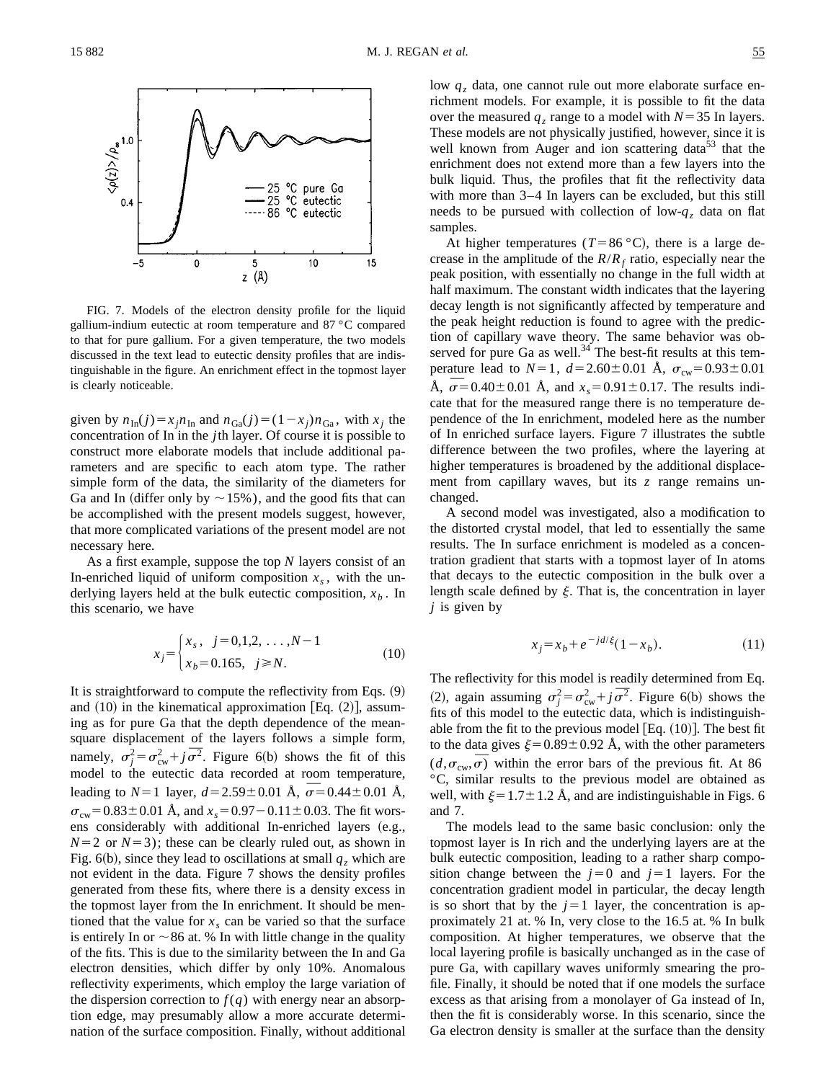

FIG. 7. Models of the electron density profile for the liquid gallium-indium eutectic at room temperature and 87 °C compared to that for pure gallium. For a given temperature, the two models discussed in the text lead to eutectic density profiles that are indistinguishable in the figure. An enrichment effect in the topmost layer is clearly noticeable.

given by  $n_{\text{In}}(j) = x_j n_{\text{In}}$  and  $n_{\text{Ga}}(j) = (1 - x_j) n_{\text{Ga}}$ , with  $x_j$  the concentration of In in the *j*th layer. Of course it is possible to construct more elaborate models that include additional parameters and are specific to each atom type. The rather simple form of the data, the similarity of the diameters for Ga and In (differ only by  $\sim$  15%), and the good fits that can be accomplished with the present models suggest, however, that more complicated variations of the present model are not necessary here.

As a first example, suppose the top *N* layers consist of an In-enriched liquid of uniform composition  $x<sub>s</sub>$ , with the underlying layers held at the bulk eutectic composition,  $x<sub>b</sub>$ . In this scenario, we have

$$
x_j = \begin{cases} x_s, & j = 0, 1, 2, \dots, N - 1 \\ x_b = 0.165, & j \ge N. \end{cases}
$$
 (10)

It is straightforward to compute the reflectivity from Eqs.  $(9)$ and  $(10)$  in the kinematical approximation [Eq.  $(2)$ ], assuming as for pure Ga that the depth dependence of the meansquare displacement of the layers follows a simple form, square displacement of the layers follows a simple form,<br>namely,  $\sigma_j^2 = \sigma_{\text{cw}}^2 + j \overline{\sigma}^2$ . Figure 6(b) shows the fit of this model to the eutectic data recorded at room temperature, moder to the eutectic data recorded at room temperature,<br>leading to  $N=1$  layer,  $d=2.59\pm0.01$  Å,  $\overline{\sigma}=0.44\pm0.01$  Å,  $\sigma_{\text{cw}}$ =0.83±0.01 Å, and  $x_s$ =0.97-0.11±0.03. The fit worsens considerably with additional In-enriched layers (e.g.,  $N=2$  or  $N=3$ ); these can be clearly ruled out, as shown in Fig. 6(b), since they lead to oscillations at small  $q_z$  which are not evident in the data. Figure 7 shows the density profiles generated from these fits, where there is a density excess in the topmost layer from the In enrichment. It should be mentioned that the value for  $x<sub>s</sub>$  can be varied so that the surface is entirely In or  $\sim$  86 at. % In with little change in the quality of the fits. This is due to the similarity between the In and Ga electron densities, which differ by only 10%. Anomalous reflectivity experiments, which employ the large variation of the dispersion correction to  $f(q)$  with energy near an absorption edge, may presumably allow a more accurate determination of the surface composition. Finally, without additional low  $q<sub>z</sub>$  data, one cannot rule out more elaborate surface enrichment models. For example, it is possible to fit the data over the measured  $q_z$  range to a model with  $N=35$  In layers. These models are not physically justified, however, since it is well known from Auger and ion scattering data<sup>53</sup> that the enrichment does not extend more than a few layers into the bulk liquid. Thus, the profiles that fit the reflectivity data with more than 3–4 In layers can be excluded, but this still needs to be pursued with collection of low- $q<sub>z</sub>$  data on flat samples.

At higher temperatures ( $T=86 \degree C$ ), there is a large decrease in the amplitude of the  $R/R<sub>f</sub>$  ratio, especially near the peak position, with essentially no change in the full width at half maximum. The constant width indicates that the layering decay length is not significantly affected by temperature and the peak height reduction is found to agree with the prediction of capillary wave theory. The same behavior was observed for pure Ga as well. $34$ <sup>T</sup> The best-fit results at this temperature lead to  $N=1$ ,  $d=2.60\pm0.01$  Å,  $\sigma_{cw}=0.93\pm0.01$ perature lead to  $N=1$ ,  $a=2.60\pm0.01$  A,  $\sigma_{\text{cw}}=0.95\pm0.01$ <br>Å,  $\sigma=0.40\pm0.01$  Å, and  $x_s=0.91\pm0.17$ . The results indicate that for the measured range there is no temperature dependence of the In enrichment, modeled here as the number of In enriched surface layers. Figure 7 illustrates the subtle difference between the two profiles, where the layering at higher temperatures is broadened by the additional displacement from capillary waves, but its *z* range remains unchanged.

A second model was investigated, also a modification to the distorted crystal model, that led to essentially the same results. The In surface enrichment is modeled as a concentration gradient that starts with a topmost layer of In atoms that decays to the eutectic composition in the bulk over a length scale defined by  $\xi$ . That is, the concentration in layer *j* is given by

$$
x_j = x_b + e^{-jd/\xi} (1 - x_b). \tag{11}
$$

The reflectivity for this model is readily determined from Eq. The renectivity for this model is readily determined from Eq.<br>
(2), again assuming  $\sigma_j^2 = \sigma_{\text{cw}}^2 + j \overline{\sigma}^2$ . Figure 6(b) shows the fits of this model to the eutectic data, which is indistinguishable from the fit to the previous model  $[Eq. (10)]$ . The best fit to the data gives  $\xi=0.89\pm0.92$  Å, with the other parameters (*d*, $\sigma_{\text{cw}}$ , $\overline{\sigma}$ ) within the error bars of the previous fit. At 86 °C, similar results to the previous model are obtained as well, with  $\xi=1.7\pm1.2$  Å, and are indistinguishable in Figs. 6 and 7.

The models lead to the same basic conclusion: only the topmost layer is In rich and the underlying layers are at the bulk eutectic composition, leading to a rather sharp composition change between the  $j=0$  and  $j=1$  layers. For the concentration gradient model in particular, the decay length is so short that by the  $j=1$  layer, the concentration is approximately 21 at. % In, very close to the 16.5 at. % In bulk composition. At higher temperatures, we observe that the local layering profile is basically unchanged as in the case of pure Ga, with capillary waves uniformly smearing the profile. Finally, it should be noted that if one models the surface excess as that arising from a monolayer of Ga instead of In, then the fit is considerably worse. In this scenario, since the Ga electron density is smaller at the surface than the density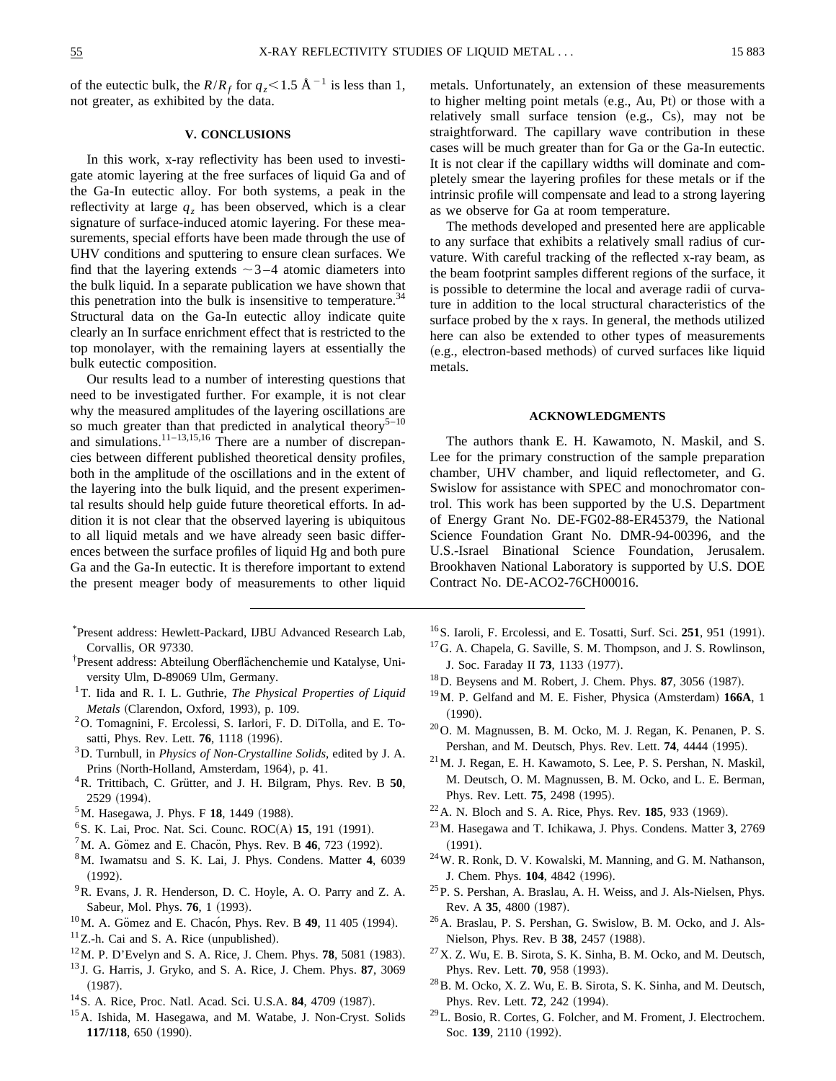of the eutectic bulk, the  $R/R_f$  for  $q_z$ <1.5 Å<sup>-1</sup> is less than 1, not greater, as exhibited by the data.

# **V. CONCLUSIONS**

In this work, x-ray reflectivity has been used to investigate atomic layering at the free surfaces of liquid Ga and of the Ga-In eutectic alloy. For both systems, a peak in the reflectivity at large  $q<sub>z</sub>$  has been observed, which is a clear signature of surface-induced atomic layering. For these measurements, special efforts have been made through the use of UHV conditions and sputtering to ensure clean surfaces. We find that the layering extends  $\sim$ 3-4 atomic diameters into the bulk liquid. In a separate publication we have shown that this penetration into the bulk is insensitive to temperature. $34$ Structural data on the Ga-In eutectic alloy indicate quite clearly an In surface enrichment effect that is restricted to the top monolayer, with the remaining layers at essentially the bulk eutectic composition.

Our results lead to a number of interesting questions that need to be investigated further. For example, it is not clear why the measured amplitudes of the layering oscillations are so much greater than that predicted in analytical theory<sup>5–10</sup> and simulations.<sup>11–13,15,16</sup> There are a number of discrepancies between different published theoretical density profiles, both in the amplitude of the oscillations and in the extent of the layering into the bulk liquid, and the present experimental results should help guide future theoretical efforts. In addition it is not clear that the observed layering is ubiquitous to all liquid metals and we have already seen basic differences between the surface profiles of liquid Hg and both pure Ga and the Ga-In eutectic. It is therefore important to extend the present meager body of measurements to other liquid

- \* Present address: Hewlett-Packard, IJBU Advanced Research Lab, Corvallis, OR 97330.
- <sup>†</sup>Present address: Abteilung Oberflächenchemie und Katalyse, University Ulm, D-89069 Ulm, Germany.
- 1T. Iida and R. I. L. Guthrie, *The Physical Properties of Liquid Metals* (Clarendon, Oxford, 1993), p. 109.
- 2O. Tomagnini, F. Ercolessi, S. Iarlori, F. D. DiTolla, and E. Tosatti, Phys. Rev. Lett. **76**, 1118 (1996).
- 3D. Turnbull, in *Physics of Non-Crystalline Solids*, edited by J. A. Prins (North-Holland, Amsterdam, 1964), p. 41.
- <sup>4</sup>R. Trittibach, C. Grütter, and J. H. Bilgram, Phys. Rev. B 50, 2529 (1994).
- <sup>5</sup>M. Hasegawa, J. Phys. F **18**, 1449 (1988).
- <sup>6</sup> S. K. Lai, Proc. Nat. Sci. Counc. ROC(A) **15**, 191 (1991).
- ${}^{7}$ M. A. Gömez and E. Chacon, Phys. Rev. B 46, 723 (1992).
- 8M. Iwamatsu and S. K. Lai, J. Phys. Condens. Matter **4**, 6039  $(1992).$
- 9R. Evans, J. R. Henderson, D. C. Hoyle, A. O. Parry and Z. A. Sabeur, Mol. Phys. **76**, 1 (1993).
- <sup>10</sup>M. A. Gömez and E. Chacón, Phys. Rev. B **49**, 11 405 (1994).
- $11$ Z.-h. Cai and S. A. Rice (unpublished).
- $12$ M. P. D'Evelyn and S. A. Rice, J. Chem. Phys. **78**, 5081 (1983).
- <sup>13</sup> J. G. Harris, J. Gryko, and S. A. Rice, J. Chem. Phys. **87**, 3069  $(1987).$
- <sup>14</sup> S. A. Rice, Proc. Natl. Acad. Sci. U.S.A. **84**, 4709 (1987).
- <sup>15</sup>A. Ishida, M. Hasegawa, and M. Watabe, J. Non-Cryst. Solids **117/118**, 650 (1990).

metals. Unfortunately, an extension of these measurements to higher melting point metals (e.g., Au, Pt) or those with a relatively small surface tension  $(e.g., Cs)$ , may not be straightforward. The capillary wave contribution in these cases will be much greater than for Ga or the Ga-In eutectic. It is not clear if the capillary widths will dominate and completely smear the layering profiles for these metals or if the intrinsic profile will compensate and lead to a strong layering as we observe for Ga at room temperature.

The methods developed and presented here are applicable to any surface that exhibits a relatively small radius of curvature. With careful tracking of the reflected x-ray beam, as the beam footprint samples different regions of the surface, it is possible to determine the local and average radii of curvature in addition to the local structural characteristics of the surface probed by the x rays. In general, the methods utilized here can also be extended to other types of measurements (e.g., electron-based methods) of curved surfaces like liquid metals.

## **ACKNOWLEDGMENTS**

The authors thank E. H. Kawamoto, N. Maskil, and S. Lee for the primary construction of the sample preparation chamber, UHV chamber, and liquid reflectometer, and G. Swislow for assistance with SPEC and monochromator control. This work has been supported by the U.S. Department of Energy Grant No. DE-FG02-88-ER45379, the National Science Foundation Grant No. DMR-94-00396, and the U.S.-Israel Binational Science Foundation, Jerusalem. Brookhaven National Laboratory is supported by U.S. DOE Contract No. DE-ACO2-76CH00016.

- <sup>16</sup>S. Iaroli, F. Ercolessi, and E. Tosatti, Surf. Sci. **251**, 951 (1991).
- 17G. A. Chapela, G. Saville, S. M. Thompson, and J. S. Rowlinson, J. Soc. Faraday II **73**, 1133 (1977).
- $18$  D. Beysens and M. Robert, J. Chem. Phys. 87, 3056 (1987).
- <sup>19</sup>M. P. Gelfand and M. E. Fisher, Physica (Amsterdam) **166A**, 1  $(1990).$
- 20O. M. Magnussen, B. M. Ocko, M. J. Regan, K. Penanen, P. S. Pershan, and M. Deutsch, Phys. Rev. Lett. **74**, 4444 (1995).
- 21M. J. Regan, E. H. Kawamoto, S. Lee, P. S. Pershan, N. Maskil, M. Deutsch, O. M. Magnussen, B. M. Ocko, and L. E. Berman, Phys. Rev. Lett. **75**, 2498 (1995).
- <sup>22</sup> A. N. Bloch and S. A. Rice, *Phys. Rev.* **185**, 933 (1969).
- 23M. Hasegawa and T. Ichikawa, J. Phys. Condens. Matter **3**, 2769  $(1991).$
- 24W. R. Ronk, D. V. Kowalski, M. Manning, and G. M. Nathanson, J. Chem. Phys. **104**, 4842 (1996).
- 25P. S. Pershan, A. Braslau, A. H. Weiss, and J. Als-Nielsen, Phys. Rev. A 35, 4800 (1987).
- 26A. Braslau, P. S. Pershan, G. Swislow, B. M. Ocko, and J. Als-Nielson, Phys. Rev. B 38, 2457 (1988).
- $27$ X. Z. Wu, E. B. Sirota, S. K. Sinha, B. M. Ocko, and M. Deutsch, Phys. Rev. Lett. **70**, 958 (1993).
- 28B. M. Ocko, X. Z. Wu, E. B. Sirota, S. K. Sinha, and M. Deutsch, Phys. Rev. Lett. **72**, 242 (1994).
- $^{29}$ L. Bosio, R. Cortes, G. Folcher, and M. Froment, J. Electrochem. Soc. 139, 2110 (1992).